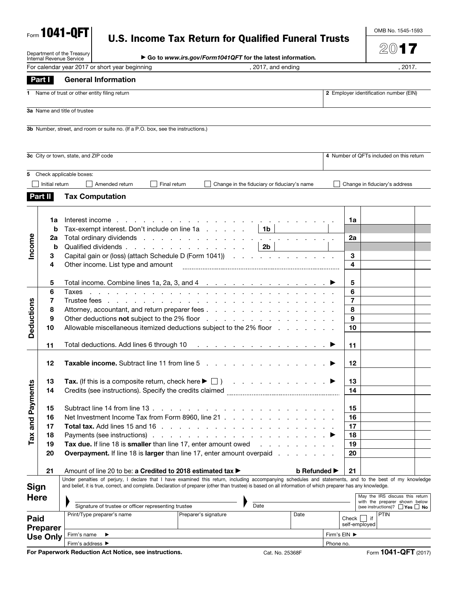| Form 1041-QFT |  |
|---------------|--|
|---------------|--|

Department of the Treasury Internal Revenue Service

# U.S. Income Tax Return for Qualified Funeral Trusts

OMB No. 1545-1593

2017

| Go to www.irs.gov/Form1041QFT for the latest information. |
|-----------------------------------------------------------|
|-----------------------------------------------------------|

|                 |                 | For calendar year 2017 or short year beginning                                                                                                                                                                                                                                                                           | , 2017, and ending  |                              | , 2017.                                                                   |  |
|-----------------|-----------------|--------------------------------------------------------------------------------------------------------------------------------------------------------------------------------------------------------------------------------------------------------------------------------------------------------------------------|---------------------|------------------------------|---------------------------------------------------------------------------|--|
|                 | Part I          | <b>General Information</b>                                                                                                                                                                                                                                                                                               |                     |                              |                                                                           |  |
|                 |                 | 1 Name of trust or other entity filing return                                                                                                                                                                                                                                                                            |                     |                              | 2 Employer identification number (EIN)                                    |  |
|                 |                 | 3a Name and title of trustee                                                                                                                                                                                                                                                                                             |                     |                              |                                                                           |  |
|                 |                 | 3b Number, street, and room or suite no. (If a P.O. box, see the instructions.)                                                                                                                                                                                                                                          |                     |                              |                                                                           |  |
|                 |                 |                                                                                                                                                                                                                                                                                                                          |                     |                              |                                                                           |  |
|                 |                 | 3c City or town, state, and ZIP code                                                                                                                                                                                                                                                                                     |                     |                              | 4 Number of QFTs included on this return                                  |  |
|                 |                 | 5 Check applicable boxes:                                                                                                                                                                                                                                                                                                |                     |                              |                                                                           |  |
|                 | Initial return  | Amended return<br>Final return<br>Change in the fiduciary or fiduciary's name                                                                                                                                                                                                                                            |                     |                              | Change in fiduciary's address                                             |  |
|                 | <b>Part II</b>  | <b>Tax Computation</b>                                                                                                                                                                                                                                                                                                   |                     |                              |                                                                           |  |
|                 |                 |                                                                                                                                                                                                                                                                                                                          |                     |                              |                                                                           |  |
|                 | 1a<br>b         | Interest income<br>design and a state of the state of the state of the<br>Tax-exempt interest. Don't include on line $1a \ldots a \ldots a$ 1b                                                                                                                                                                           |                     | 1a                           |                                                                           |  |
|                 | 2a              |                                                                                                                                                                                                                                                                                                                          |                     | 2a                           |                                                                           |  |
| Income          | b               | Qualified dividends<br>$\vert$ 2b                                                                                                                                                                                                                                                                                        |                     |                              |                                                                           |  |
|                 | 3<br>4          | Capital gain or (loss) (attach Schedule D (Form 1041))<br>Other income. List type and amount                                                                                                                                                                                                                             |                     | 3<br>$\overline{\mathbf{4}}$ |                                                                           |  |
|                 |                 |                                                                                                                                                                                                                                                                                                                          |                     |                              |                                                                           |  |
|                 | 5               | Total income. Combine lines 1a, 2a, 3, and 4 $\ldots$ $\ldots$ $\ldots$ $\ldots$ $\ldots$ $\ldots$                                                                                                                                                                                                                       |                     | 5                            |                                                                           |  |
|                 | 6               | Taxes<br>in the contract of the contract of the contract of the contract of the contract of                                                                                                                                                                                                                              |                     | 6                            |                                                                           |  |
| Deductions      | 7               |                                                                                                                                                                                                                                                                                                                          |                     | $\overline{7}$<br>8          |                                                                           |  |
|                 | 8<br>9          | Attorney, accountant, and return preparer fees<br>Other deductions not subject to the 2% floor entering to the contract of the contract of the 2% floor                                                                                                                                                                  |                     | 9                            |                                                                           |  |
|                 | 10              | Allowable miscellaneous itemized deductions subject to the 2% floor                                                                                                                                                                                                                                                      |                     | 10                           |                                                                           |  |
|                 |                 |                                                                                                                                                                                                                                                                                                                          |                     |                              |                                                                           |  |
|                 | 11              | Total deductions. Add lines 6 through 10<br>the contract of the contract of the contract of the contract of                                                                                                                                                                                                              |                     | 11                           |                                                                           |  |
|                 | 12              | <b>Taxable income.</b> Subtract line 11 from line 5 and the state of the state of the state of the state of the state of the state of the state of the state of the state of the state of the state of the state of the state of th                                                                                      |                     | 12                           |                                                                           |  |
|                 |                 |                                                                                                                                                                                                                                                                                                                          |                     |                              |                                                                           |  |
|                 | 13              | Tax. (If this is a composite return, check here $\blacktriangleright \Box$ )                                                                                                                                                                                                                                             |                     | 13                           |                                                                           |  |
| ments           | 14              | Credits (see instructions). Specify the credits claimed                                                                                                                                                                                                                                                                  |                     | 14                           |                                                                           |  |
|                 | 15              | Subtract line 14 from line 13.<br>and the company of the company                                                                                                                                                                                                                                                         |                     | 15                           |                                                                           |  |
| Tax and Pay     | 16              | Net Investment Income Tax from Form 8960, line 21                                                                                                                                                                                                                                                                        |                     | 16                           |                                                                           |  |
|                 | 17              | Total tax. Add lines 15 and 16 $\ldots$ $\ldots$ $\ldots$ $\ldots$ $\ldots$ $\ldots$ $\ldots$                                                                                                                                                                                                                            |                     | 17                           |                                                                           |  |
|                 | 18              |                                                                                                                                                                                                                                                                                                                          |                     | 18                           |                                                                           |  |
|                 | 19<br>20        | Tax due. If line 18 is smaller than line 17, enter amount owed remains and remain the state of the state of the T<br><b>Overpayment.</b> If line 18 is larger than line 17, enter amount overpaid                                                                                                                        |                     | 19<br>20                     |                                                                           |  |
|                 |                 |                                                                                                                                                                                                                                                                                                                          |                     |                              |                                                                           |  |
|                 | 21              | Amount of line 20 to be: a Credited to 2018 estimated tax ▶                                                                                                                                                                                                                                                              | <b>b</b> Refunded ▶ | 21                           |                                                                           |  |
| <b>Sign</b>     |                 | Under penalties of perjury, I declare that I have examined this return, including accompanying schedules and statements, and to the best of my knowledge<br>and belief, it is true, correct, and complete. Declaration of preparer (other than trustee) is based on all information of which preparer has any knowledge. |                     |                              |                                                                           |  |
| <b>Here</b>     |                 |                                                                                                                                                                                                                                                                                                                          |                     |                              | May the IRS discuss this return                                           |  |
|                 |                 | Signature of trustee or officer representing trustee<br>Date                                                                                                                                                                                                                                                             |                     |                              | with the preparer shown below<br>(see instructions)? $\Box$ Yes $\Box$ No |  |
| Paid            |                 | Print/Type preparer's name<br>Preparer's signature                                                                                                                                                                                                                                                                       | Date                |                              | PTIN<br>$Check$     if                                                    |  |
| <b>Preparer</b> |                 |                                                                                                                                                                                                                                                                                                                          |                     |                              | self-employed                                                             |  |
|                 | <b>Use Only</b> | ▶<br>Firm's name                                                                                                                                                                                                                                                                                                         |                     | Firm's EIN ▶                 |                                                                           |  |
|                 |                 | Firm's address ▶<br>For Paperwork Reduction Act Notice, see instructions.                                                                                                                                                                                                                                                | Cat. No. 25368F     | Phone no.                    | Form 1041-QFT (2017)                                                      |  |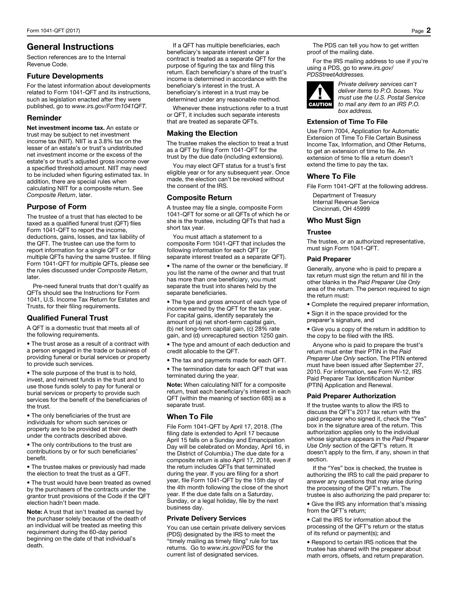# General Instructions

Section references are to the Internal Revenue Code.

### Future Developments

For the latest information about developments related to Form 1041-QFT and its instructions, such as legislation enacted after they were published, go to *www.irs.gov/Form1041QFT.* 

# Reminder

Net investment income tax. An estate or trust may be subject to net investment income tax (NIIT). NIIT is a 3.8% tax on the lesser of an estate's or trust's undistributed net investment income or the excess of the estate's or trust's adjusted gross income over a specified threshold amount. NIIT may need to be included when figuring estimated tax. In addition, there are special rules when calculating NIIT for a composite return. See *Composite Return*, later.

# Purpose of Form

The trustee of a trust that has elected to be taxed as a qualified funeral trust (QFT) files Form 1041-QFT to report the income, deductions, gains, losses, and tax liability of the QFT. The trustee can use the form to report information for a single QFT or for multiple QFTs having the same trustee. If filing Form 1041-QFT for multiple QFTs, please see the rules discussed under *Composite Return*, later.

Pre-need funeral trusts that don't qualify as QFTs should see the Instructions for Form 1041, U.S. Income Tax Return for Estates and Trusts, for their filing requirements.

# Qualified Funeral Trust

A QFT is a domestic trust that meets all of the following requirements.

• The trust arose as a result of a contract with a person engaged in the trade or business of providing funeral or burial services or property to provide such services.

• The sole purpose of the trust is to hold, invest, and reinvest funds in the trust and to use those funds solely to pay for funeral or burial services or property to provide such services for the benefit of the beneficiaries of the trust.

• The only beneficiaries of the trust are individuals for whom such services or property are to be provided at their death under the contracts described above.

• The only contributions to the trust are contributions by or for such beneficiaries' benefit.

• The trustee makes or previously had made the election to treat the trust as a QFT.

• The trust would have been treated as owned by the purchasers of the contracts under the grantor trust provisions of the Code if the QFT election hadn't been made.

Note: A trust that isn't treated as owned by the purchaser solely because of the death of an individual will be treated as meeting this requirement during the 60-day period beginning on the date of that individual's death.

If a QFT has multiple beneficiaries, each beneficiary's separate interest under a contract is treated as a separate QFT for the purpose of figuring the tax and filing this return. Each beneficiary's share of the trust's income is determined in accordance with the beneficiary's interest in the trust. A beneficiary's interest in a trust may be determined under any reasonable method.

Whenever these instructions refer to a trust or QFT, it includes such separate interests that are treated as separate QFTs.

### Making the Election

The trustee makes the election to treat a trust as a QFT by filing Form 1041-QFT for the trust by the due date (including extensions).

You may elect QFT status for a trust's first eligible year or for any subsequent year. Once made, the election can't be revoked without the consent of the IRS.

# Composite Return

A trustee may file a single, composite Form 1041-QFT for some or all QFTs of which he or she is the trustee, including QFTs that had a short tax year.

You must attach a statement to a composite Form 1041-QFT that includes the following information for each QFT (or separate interest treated as a separate QFT).

• The name of the owner or the beneficiary. If you list the name of the owner and that trust has more than one beneficiary, you must separate the trust into shares held by the separate beneficiaries.

• The type and gross amount of each type of income earned by the QFT for the tax year. For capital gains, identify separately the amount of (a) net short-term capital gain, (b) net long-term capital gain, (c) 28% rate gain, and (d) unrecaptured section 1250 gain.

• The type and amount of each deduction and credit allocable to the QFT.

• The tax and payments made for each QFT.

• The termination date for each QFT that was terminated during the year.

Note: When calculating NIIT for a composite return, treat each beneficiary's interest in each QFT (within the meaning of section 685) as a separate trust.

# When To File

File Form 1041-QFT by April 17, 2018. (The filing date is extended to April 17 because April 15 falls on a Sunday and Emancipation Day will be celebrated on Monday, April 16, in the District of Columbia.) The due date for a composite return is also April 17, 2018, even if the return includes QFTs that terminated during the year. If you are filing for a short year, file Form 1041-QFT by the 15th day of the 4th month following the close of the short year. If the due date falls on a Saturday, Sunday, or a legal holiday, file by the next business day.

### Private Delivery Services

You can use certain private delivery services (PDS) designated by the IRS to meet the "timely mailing as timely filing" rule for tax returns. Go to *www.irs.gov/PDS* for the current list of designated services.

The PDS can tell you how to get written proof of the mailing date.

For the IRS mailing address to use if you're using a PDS, go to *www.irs.gov/ PDSStreetAddresses.*



#### *Private delivery services can't deliver items to P.O. boxes. You must use the U.S. Postal Service to mail any item to an IRS P.O. box address.*

### Extension of Time To File

Use Form 7004, Application for Automatic Extension of Time To File Certain Business Income Tax, Information, and Other Returns, to get an extension of time to file. An extension of time to file a return doesn't extend the time to pay the tax.

# Where To File

File Form 1041-QFT at the following address.

Department of Treasury Internal Revenue Service Cincinnati, OH 45999

### Who Must Sign

### Trustee

The trustee, or an authorized representative, must sign Form 1041-QFT.

### Paid Preparer

Generally, anyone who is paid to prepare a tax return must sign the return and fill in the other blanks in the *Paid Preparer Use Only* area of the return. The person required to sign the return must:

- Complete the required preparer information,
- Sign it in the space provided for the preparer's signature, and

• Give you a copy of the return in addition to the copy to be filed with the IRS.

Anyone who is paid to prepare the trust's return must enter their PTIN in the *Paid Preparer Use Only* section. The PTIN entered must have been issued after September 27, 2010. For information, see Form W-12, IRS Paid Preparer Tax Identification Number (PTIN) Application and Renewal.

### Paid Preparer Authorization

If the trustee wants to allow the IRS to discuss the QFT's 2017 tax return with the paid preparer who signed it, check the "Yes" box in the signature area of the return. This authorization applies only to the individual whose signature appears in the *Paid Preparer Use Only* section of the QFT's return. It doesn't apply to the firm, if any, shown in that section.

If the "Yes" box is checked, the trustee is authorizing the IRS to call the paid preparer to answer any questions that may arise during the processing of the QFT's return. The trustee is also authorizing the paid preparer to:

• Give the IRS any information that's missing from the QFT's return;

• Call the IRS for information about the processing of the QFT's return or the status of its refund or payment(s); and

• Respond to certain IRS notices that the trustee has shared with the preparer about math errors, offsets, and return preparation.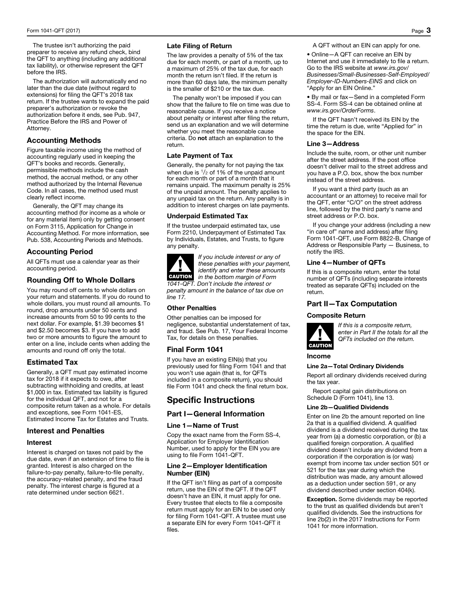The trustee isn't authorizing the paid preparer to receive any refund check, bind the QFT to anything (including any additional tax liability), or otherwise represent the QFT before the IRS.

The authorization will automatically end no later than the due date (without regard to extensions) for filing the QFT's 2018 tax return. If the trustee wants to expand the paid preparer's authorization or revoke the authorization before it ends, see Pub. 947, Practice Before the IRS and Power of Attorney.

# Accounting Methods

Figure taxable income using the method of accounting regularly used in keeping the QFT's books and records. Generally, permissible methods include the cash method, the accrual method, or any other method authorized by the Internal Revenue Code. In all cases, the method used must clearly reflect income.

Generally, the QFT may change its accounting method (for income as a whole or for any material item) only by getting consent on Form 3115, Application for Change in Accounting Method. For more information, see Pub. 538, Accounting Periods and Methods.

# Accounting Period

All QFTs must use a calendar year as their accounting period.

# Rounding Off to Whole Dollars

You may round off cents to whole dollars on your return and statements. If you do round to whole dollars, you must round all amounts. To round, drop amounts under 50 cents and increase amounts from 50 to 99 cents to the next dollar. For example, \$1.39 becomes \$1 and \$2.50 becomes \$3. If you have to add two or more amounts to figure the amount to enter on a line, include cents when adding the amounts and round off only the total.

# Estimated Tax

Generally, a QFT must pay estimated income tax for 2018 if it expects to owe, after subtracting withholding and credits, at least \$1,000 in tax. Estimated tax liability is figured for the individual QFT, and not for a composite return taken as a whole. For details and exceptions, see Form 1041-ES, Estimated Income Tax for Estates and Trusts.

# Interest and Penalties

### **Interest**

Interest is charged on taxes not paid by the due date, even if an extension of time to file is granted. Interest is also charged on the failure-to-pay penalty, failure-to-file penalty, the accuracy-related penalty, and the fraud penalty. The interest charge is figured at a rate determined under section 6621.

# Late Filing of Return

The law provides a penalty of 5% of the tax due for each month, or part of a month, up to a maximum of 25% of the tax due, for each month the return isn't filed. If the return is more than 60 days late, the minimum penalty is the smaller of \$210 or the tax due.

The penalty won't be imposed if you can show that the failure to file on time was due to reasonable cause. If you receive a notice about penalty or interest after filing the return, send us an explanation and we will determine whether you meet the reasonable cause criteria. Do not attach an explanation to the return.

# Late Payment of Tax

Generally, the penalty for not paying the tax when due is  $\frac{1}{2}$  of 1% of the unpaid amount for each month or part of a month that it remains unpaid. The maximum penalty is 25% of the unpaid amount. The penalty applies to any unpaid tax on the return. Any penalty is in addition to interest charges on late payments.

# Underpaid Estimated Tax

If the trustee underpaid estimated tax, use Form 2210, Underpayment of Estimated Tax by Individuals, Estates, and Trusts, to figure any penalty.



*If you include interest or any of these penalties with your payment, identify and enter these amounts in the bottom margin of Form 1041-QFT. Don't include the interest or* 

*penalty amount in the balance of tax due on line 17.* 

# Other Penalties

Other penalties can be imposed for negligence, substantial understatement of tax, and fraud. See Pub. 17, Your Federal Income Tax, for details on these penalties.

# Final Form 1041

If you have an existing EIN(s) that you previously used for filing Form 1041 and that you won't use again (that is, for QFTs included in a composite return), you should file Form 1041 and check the final return box.

# Specific Instructions

# Part I—General Information

### Line 1—Name of Trust

Copy the exact name from the Form SS-4, Application for Employer Identification Number, used to apply for the EIN you are using to file Form 1041-QFT.

### Line 2—Employer Identification Number (EIN)

If the QFT isn't filing as part of a composite return, use the EIN of the QFT. If the QFT doesn't have an EIN, it must apply for one. Every trustee that elects to file a composite return must apply for an EIN to be used only for filing Form 1041-QFT. A trustee must use a separate EIN for every Form 1041-QFT it files.

A QFT without an EIN can apply for one.

• Online—A QFT can receive an EIN by Internet and use it immediately to file a return. Go to the IRS website at *www.irs.gov/ Businesses/Small-Businesses-Self-Employed/ Employer-ID-Numbers-EINS* and click on "Apply for an EIN Online."

• By mail or fax—Send in a completed Form SS-4. Form SS-4 can be obtained online at *www.irs.gov/OrderForms*.

If the QFT hasn't received its EIN by the time the return is due, write "Applied for" in the space for the EIN.

### Line 3—Address

Include the suite, room, or other unit number after the street address. If the post office doesn't deliver mail to the street address and you have a P.O. box, show the box number instead of the street address.

If you want a third party (such as an accountant or an attorney) to receive mail for the QFT, enter "C/O" on the street address line, followed by the third party's name and street address or P.O. box.

If you change your address (including a new "in care of" name and address) after filing Form 1041-QFT, use Form 8822-B, Change of Address or Responsible Party — Business, to notify the IRS.

### Line 4—Number of QFTs

If this is a composite return, enter the total number of QFTs (including separate interests treated as separate QFTs) included on the return.

# Part II—Tax Computation

### Composite Return



*If this is a composite return, enter in Part II the totals for all the QFTs included on the return.*

# Income

Line 2a—Total Ordinary Dividends

Report all ordinary dividends received during the tax year.

Report capital gain distributions on Schedule D (Form 1041), line 13.

### Line 2b—Qualified Dividends

Enter on line 2b the amount reported on line 2a that is a qualified dividend. A qualified dividend is a dividend received during the tax year from (a) a domestic corporation, or (b) a qualified foreign corporation. A qualified dividend doesn't include any dividend from a corporation if the corporation is (or was) exempt from income tax under section 501 or 521 for the tax year during which the distribution was made, any amount allowed as a deduction under section 591, or any dividend described under section 404(k).

Exception. Some dividends may be reported to the trust as qualified dividends but aren't qualified dividends. See the instructions for line 2b(2) in the 2017 Instructions for Form 1041 for more information.